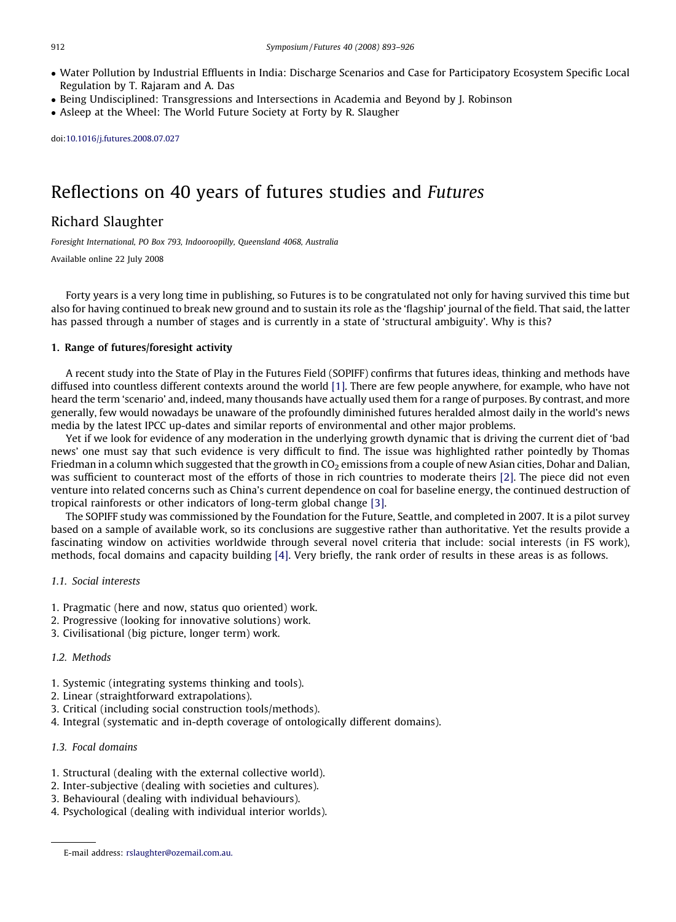- Water Pollution by Industrial Effluents in India: Discharge Scenarios and Case for Participatory Ecosystem Specific Local Regulation by T. Rajaram and A. Das
- Being Undisciplined: Transgressions and Intersections in Academia and Beyond by J. Robinson
- Asleep at the Wheel: The World Future Society at Forty by R. Slaugher

doi[:10.1016/j.futures.2008.07.027](http://dx.doi.org/10.1016/j.futures.2008.07.027)

# Reflections on 40 years of futures studies and Futures

## Richard Slaughter

Foresight International, PO Box 793, Indooroopilly, Queensland 4068, Australia

Available online 22 July 2008

Forty years is a very long time in publishing, so Futures is to be congratulated not only for having survived this time but also for having continued to break new ground and to sustain its role as the 'flagship' journal of the field. That said, the latter has passed through a number of stages and is currently in a state of 'structural ambiguity'. Why is this?

#### 1. Range of futures/foresight activity

A recent study into the State of Play in the Futures Field (SOPIFF) confirms that futures ideas, thinking and methods have diffused into countless different contexts around the world [\[1\].](#page-2-0) There are few people anywhere, for example, who have not heard the term 'scenario' and, indeed, many thousands have actually used them for a range of purposes. By contrast, and more generally, few would nowadays be unaware of the profoundly diminished futures heralded almost daily in the world's news media by the latest IPCC up-dates and similar reports of environmental and other major problems.

Yet if we look for evidence of any moderation in the underlying growth dynamic that is driving the current diet of 'bad news' one must say that such evidence is very difficult to find. The issue was highlighted rather pointedly by Thomas Friedman in a column which suggested that the growth in  $CO<sub>2</sub>$  emissions from a couple of new Asian cities, Dohar and Dalian, was sufficient to counteract most of the efforts of those in rich countries to moderate theirs [\[2\].](#page-2-0) The piece did not even venture into related concerns such as China's current dependence on coal for baseline energy, the continued destruction of tropical rainforests or other indicators of long-term global change [\[3\].](#page-2-0)

The SOPIFF study was commissioned by the Foundation for the Future, Seattle, and completed in 2007. It is a pilot survey based on a sample of available work, so its conclusions are suggestive rather than authoritative. Yet the results provide a fascinating window on activities worldwide through several novel criteria that include: social interests (in FS work), methods, focal domains and capacity building [\[4\]](#page-2-0). Very briefly, the rank order of results in these areas is as follows.

#### 1.1. Social interests

- 1. Pragmatic (here and now, status quo oriented) work.
- 2. Progressive (looking for innovative solutions) work.
- 3. Civilisational (big picture, longer term) work.

#### 1.2 Methods

- 1. Systemic (integrating systems thinking and tools).
- 2. Linear (straightforward extrapolations).
- 3. Critical (including social construction tools/methods).
- 4. Integral (systematic and in-depth coverage of ontologically different domains).

## 1.3. Focal domains

- 1. Structural (dealing with the external collective world).
- 2. Inter-subjective (dealing with societies and cultures).
- 3. Behavioural (dealing with individual behaviours).
- 4. Psychological (dealing with individual interior worlds).

E-mail address: [rslaughter@ozemail.com.au.](http://www.thinkingfutures.net/sopiff)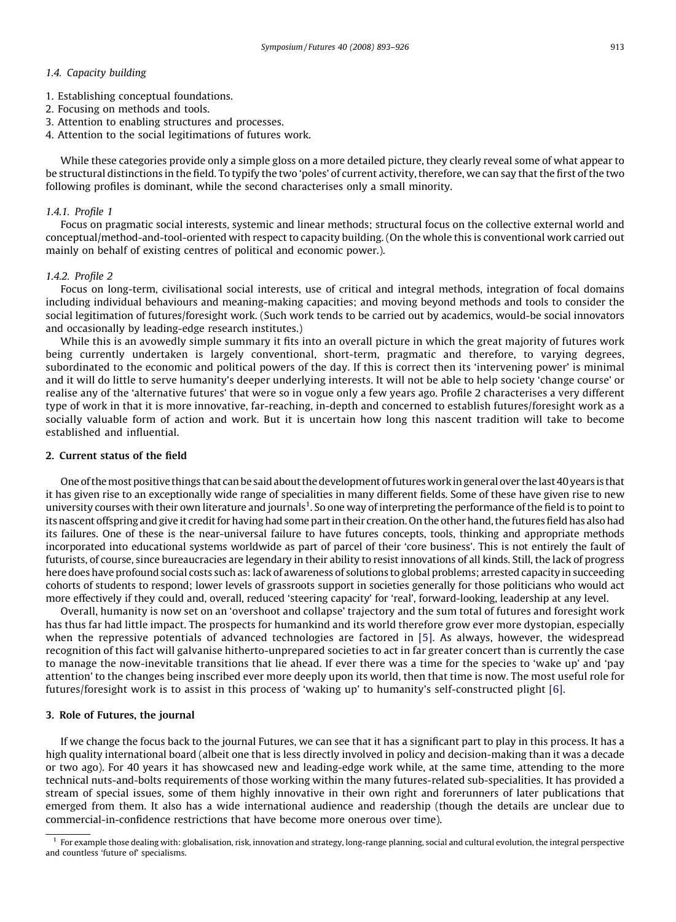## 1.4. Capacity building

- 1. Establishing conceptual foundations.
- 2. Focusing on methods and tools.
- 3. Attention to enabling structures and processes.
- 4. Attention to the social legitimations of futures work.

While these categories provide only a simple gloss on a more detailed picture, they clearly reveal some of what appear to be structural distinctions in the field. To typify the two 'poles' of current activity, therefore, we can say that the first of the two following profiles is dominant, while the second characterises only a small minority.

#### 1.4.1. Profile 1

Focus on pragmatic social interests, systemic and linear methods; structural focus on the collective external world and conceptual/method-and-tool-oriented with respect to capacity building. (On the whole this is conventional work carried out mainly on behalf of existing centres of political and economic power.).

#### 1.4.2. Profile 2

Focus on long-term, civilisational social interests, use of critical and integral methods, integration of focal domains including individual behaviours and meaning-making capacities; and moving beyond methods and tools to consider the social legitimation of futures/foresight work. (Such work tends to be carried out by academics, would-be social innovators and occasionally by leading-edge research institutes.)

While this is an avowedly simple summary it fits into an overall picture in which the great majority of futures work being currently undertaken is largely conventional, short-term, pragmatic and therefore, to varying degrees, subordinated to the economic and political powers of the day. If this is correct then its 'intervening power' is minimal and it will do little to serve humanity's deeper underlying interests. It will not be able to help society 'change course' or realise any of the 'alternative futures' that were so in vogue only a few years ago. Profile 2 characterises a very different type of work in that it is more innovative, far-reaching, in-depth and concerned to establish futures/foresight work as a socially valuable form of action and work. But it is uncertain how long this nascent tradition will take to become established and influential.

### 2. Current status of the field

One of themost positive things that can be said about the development of futureswork in general over the last 40 years is that it has given rise to an exceptionally wide range of specialities in many different fields. Some of these have given rise to new university courses with their own literature and journals $^1$ . So one way of interpreting the performance of the field is to point to its nascent offspring and give it credit for having had some part in their creation. On the other hand, the futures field has also had its failures. One of these is the near-universal failure to have futures concepts, tools, thinking and appropriate methods incorporated into educational systems worldwide as part of parcel of their 'core business'. This is not entirely the fault of futurists, of course, since bureaucracies are legendary in their ability to resist innovations of all kinds. Still, the lack of progress here does have profound social costs such as: lack of awareness of solutions to global problems; arrested capacity in succeeding cohorts of students to respond; lower levels of grassroots support in societies generally for those politicians who would act more effectively if they could and, overall, reduced 'steering capacity' for 'real', forward-looking, leadership at any level.

Overall, humanity is now set on an 'overshoot and collapse' trajectory and the sum total of futures and foresight work has thus far had little impact. The prospects for humankind and its world therefore grow ever more dystopian, especially when the repressive potentials of advanced technologies are factored in [\[5\]](#page-2-0). As always, however, the widespread recognition of this fact will galvanise hitherto-unprepared societies to act in far greater concert than is currently the case to manage the now-inevitable transitions that lie ahead. If ever there was a time for the species to 'wake up' and 'pay attention' to the changes being inscribed ever more deeply upon its world, then that time is now. The most useful role for futures/foresight work is to assist in this process of 'waking up' to humanity's self-constructed plight [\[6\].](#page-2-0)

#### 3. Role of Futures, the journal

If we change the focus back to the journal Futures, we can see that it has a significant part to play in this process. It has a high quality international board (albeit one that is less directly involved in policy and decision-making than it was a decade or two ago). For 40 years it has showcased new and leading-edge work while, at the same time, attending to the more technical nuts-and-bolts requirements of those working within the many futures-related sub-specialities. It has provided a stream of special issues, some of them highly innovative in their own right and forerunners of later publications that emerged from them. It also has a wide international audience and readership (though the details are unclear due to commercial-in-confidence restrictions that have become more onerous over time).

<sup>1</sup> For example those dealing with: globalisation, risk, innovation and strategy, long-range planning, social and cultural evolution, the integral perspective and countless 'future of' specialisms.